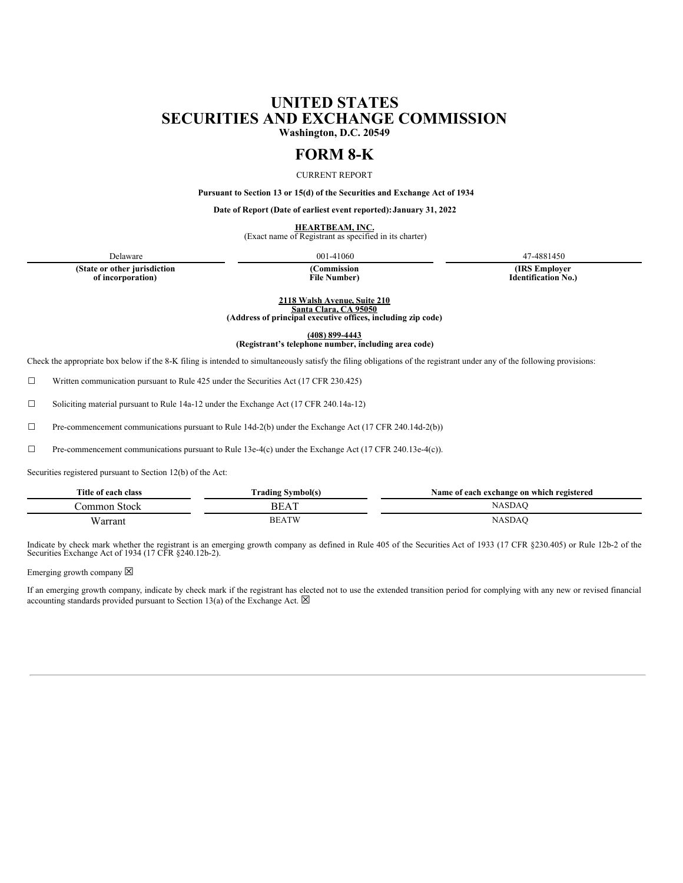# **UNITED STATES SECURITIES AND EXCHANGE COMMISSION**

**Washington, D.C. 20549**

# **FORM 8-K**

CURRENT REPORT

**Pursuant to Section 13 or 15(d) of the Securities and Exchange Act of 1934**

**Date of Report (Date of earliest event reported):January 31, 2022**

**HEARTBEAM, INC.**<br>(Exact name of Registrant as specified in its charter)

Delaware 47-4881450

**(State or other jurisdiction of incorporation)**

**(Commission File Number)**

**(IRS Employer Identification No.)**

**2118 Walsh Avenue, Suite 210 Santa Clara, CA 95050**

**(Address of principal executive offices, including zip code)**

**(408) 899-4443**

**(Registrant's telephone number, including area code)**

Check the appropriate box below if the 8-K filing is intended to simultaneously satisfy the filing obligations of the registrant under any of the following provisions:

☐ Written communication pursuant to Rule 425 under the Securities Act (17 CFR 230.425)

☐ Soliciting material pursuant to Rule 14a-12 under the Exchange Act (17 CFR 240.14a-12)

 $\Box$  Pre-commencement communications pursuant to Rule 14d-2(b) under the Exchange Act (17 CFR 240.14d-2(b))

☐ Pre-commencement communications pursuant to Rule 13e-4(c) under the Exchange Act (17 CFR 240.13e-4(c)).

Securities registered pursuant to Section 12(b) of the Act:

| Title of each class | <b>Frading Symbol(s)</b> | Name of each exchange on which registered |
|---------------------|--------------------------|-------------------------------------------|
| Jommon Stock        | BEAT                     | NASDAC                                    |
| Warrant             | <b>BEATW</b>             | NASDAC                                    |

Indicate by check mark whether the registrant is an emerging growth company as defined in Rule 405 of the Securities Act of 1933 (17 CFR §230.405) or Rule 12b-2 of the Securities Exchange Act of 1934 (17 CFR §240.12b-2).

Emerging growth company  $\boxtimes$ 

If an emerging growth company, indicate by check mark if the registrant has elected not to use the extended transition period for complying with any new or revised financial accounting standards provided pursuant to Section 13(a) of the Exchange Act.  $\boxtimes$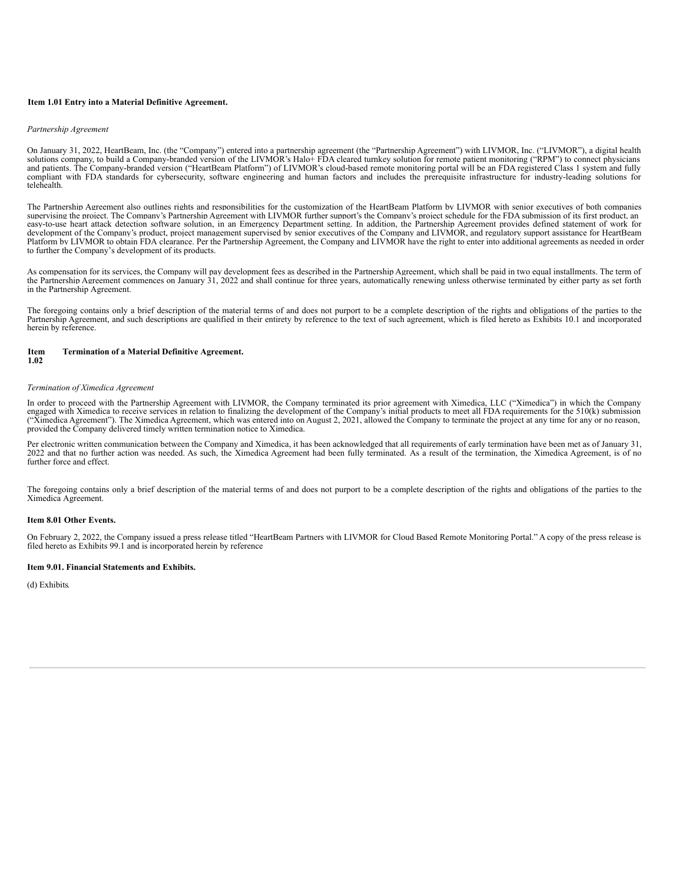#### **Item 1.01 Entry into a Material Definitive Agreement.**

#### *Partnership Agreement*

On January 31, 2022, HeartBeam, Inc. (the "Company") entered into a partnership agreement (the "Partnership Agreement") with LIVMOR, Inc. ("LIVMOR"), a digital health<br>solutions company, to build a Company-branded version o and patients. The Company-branded version ("HeartBeam Platform") of LIVMOR's cloud-based remote monitoring portal will be an FDA registered Class 1 system and fully compliant with FDA standards for cybersecurity, software engineering and human factors and includes the prerequisite infrastructure for industry-leading solutions for telehealth.

The Partnership Agreement also outlines rights and responsibilities for the customization of the HeartBeam Platform by LIVMOR with senior executives of both companies supervising the project. The Company's Partnership Agreement with LIVMOR further support's the Company's project schedule for the FDA submission of its first product, an easy-to-use heart attack detection software solution, in an Emergency Department setting. In addition, the Partnership Agreement provides defined statement of work for development of the Company's product, project management supervised by senior executives of the Company and LIVMOR, and regulatory support assistance for HeartBeam Platform by LIVMOR to obtain FDA clearance. Per the Partnership Agreement, the Company and LIVMOR have the right to enter into additional agreements as needed in order to further the Company's development of its products.

As compensation for its services, the Company will pay development fees as described in the Partnership Agreement, which shall be paid in two equal installments. The term of the Partnership Agreement commences on January 31, 2022 and shall continue for three years, automatically renewing unless otherwise terminated by either party as set forth in the Partnership Agreement.

The foregoing contains only a brief description of the material terms of and does not purport to be a complete description of the rights and obligations of the parties to the Partnership Agreement, and such descriptions are qualified in their entirety by reference to the text of such agreement, which is filed hereto as Exhibits 10.1 and incorporated herein by reference.

#### **Item Termination of a Material Definitive Agreement.**

#### **1.02**

#### *Termination of Ximedica Agreement*

In order to proceed with the Partnership Agreement with LIVMOR, the Company terminated its prior agreement with Ximedica, LLC ("Ximedica") in which the Company engaged with Ximedica to receive services in relation to finalizing the development of the Company's initial products to meet all FDA requirements for the 510(k) submission ("Ximedica Agreement"). The Ximedica Agreement, which was entered into on August 2, 2021, allowed the Company to terminate the project at any time for any or no reason, provided the Company delivered timely written termination notice to Ximedica.

Per electronic written communication between the Company and Ximedica, it has been acknowledged that all requirements of early termination have been met as of January 31, 2022 and that no further action was needed. As such, the Ximedica Agreement had been fully terminated. As a result of the termination, the Ximedica Agreement, is of no further force and effect.

The foregoing contains only a brief description of the material terms of and does not purport to be a complete description of the rights and obligations of the parties to the Ximedica Agreement.

#### **Item 8.01 Other Events.**

On February 2, 2022, the Company issued a press release titled "HeartBeam Partners with LIVMOR for Cloud Based Remote Monitoring Portal." A copy of the press release is filed hereto as Exhibits 99.1 and is incorporated herein by reference

#### **Item 9.01. Financial Statements and Exhibits.**

(d) Exhibits*.*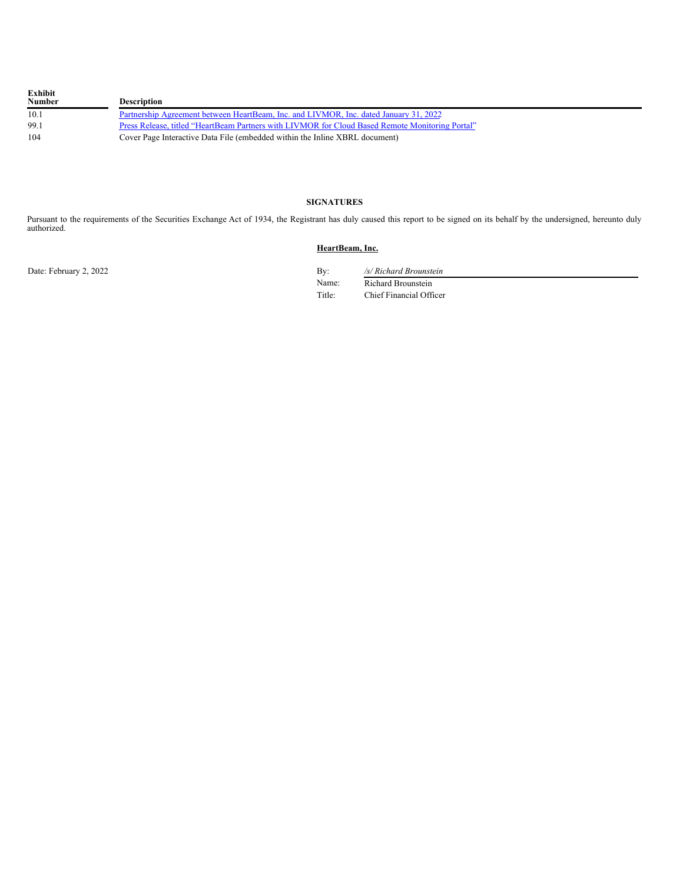| Exhibit<br><b>Number</b> | <b>Description</b>                                                                              |
|--------------------------|-------------------------------------------------------------------------------------------------|
| 10.1                     | Partnership Agreement between HeartBeam, Inc. and LIVMOR, Inc. dated January 31, 2022           |
| 99.1                     | Press Release, titled "HeartBeam Partners with LIVMOR for Cloud Based Remote Monitoring Portal" |
| 104                      | Cover Page Interactive Data File (embedded within the Inline XBRL document)                     |

# **SIGNATURES**

Pursuant to the requirements of the Securities Exchange Act of 1934, the Registrant has duly caused this report to be signed on its behalf by the undersigned, hereunto duly authorized.

# **HeartBeam, Inc.**

Date: February 2, 2022 By: */s/ Richard Brounstein* Name: Richard Brounstein Title: Chief Financial Officer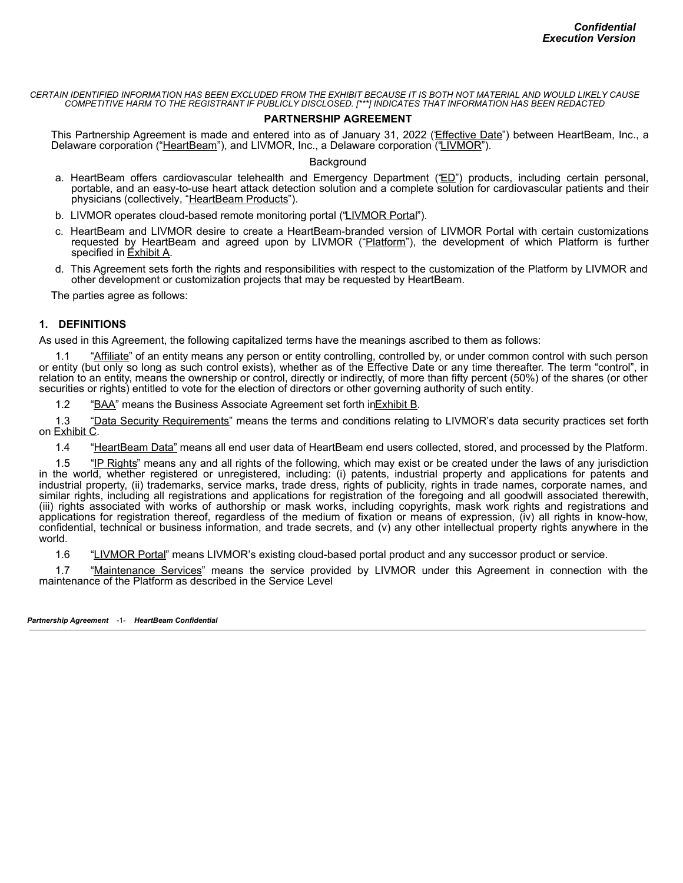CERTAIN IDENTIFIED INFORMATION HAS BEEN EXCLUDED FROM THE EXHIBIT BECAUSE IT IS BOTH NOT MATERIAL AND WOULD LIKELY CAUSE *COMPETITIVE HARM TO THE REGISTRANT IF PUBLICLY DISCLOSED. [\*\*\*] INDICATES THAT INFORMATION HAS BEEN REDACTED*

# **PARTNERSHIP AGREEMENT**

This Partnership Agreement is made and entered into as of January 31, 2022 (Effective Date") between HeartBeam, Inc., a Delaware corporation ("HeartBeam"), and LIVMOR, Inc., a Delaware corporation ('LIVMOR").

**Background** 

- a. HeartBeam offers cardiovascular telehealth and Emergency Department ("ED") products, including certain personal, portable, and an easy-to-use heart attack detection solution and a complete solution for cardiovascular patients and their physicians (collectively, "HeartBeam Products").
- b. LIVMOR operates cloud-based remote monitoring portal ("LIVMOR Portal").
- c. HeartBeam and LIVMOR desire to create a HeartBeam-branded version of LIVMOR Portal with certain customizations requested by HeartBeam and agreed upon by LIVMOR ("Platform"), the development of which Platform is further specified in Exhibit A.
- d. This Agreement sets forth the rights and responsibilities with respect to the customization of the Platform by LIVMOR and other development or customization projects that may be requested by HeartBeam.

The parties agree as follows:

# **1. DEFINITIONS**

As used in this Agreement, the following capitalized terms have the meanings ascribed to them as follows:

"Affiliate" of an entity means any person or entity controlling, controlled by, or under common control with such person or entity (but only so long as such control exists), whether as of the Effective Date or any time thereafter. The term "control", in relation to an entity, means the ownership or control, directly or indirectly, of more than fifty percent (50%) of the shares (or other securities or rights) entitled to vote for the election of directors or other governing authority of such entity.

1.2 "BAA" means the Business Associate Agreement set forth in Exhibit B.

1.3 "Data Security Requirements" means the terms and conditions relating to LIVMOR's data security practices set forth on Exhibit C.

1.4 "HeartBeam Data" means all end user data of HeartBeam end users collected, stored, and processed by the Platform.

1.5 "IP Rights" means any and all rights of the following, which may exist or be created under the laws of any jurisdiction in the world, whether registered or unregistered, including: (i) patents, industrial property and applications for patents and industrial property, (ii) trademarks, service marks, trade dress, rights of publicity, rights in trade names, corporate names, and similar rights, including all registrations and applications for registration of the foregoing and all goodwill associated therewith, (iii) rights associated with works of authorship or mask works, including copyrights, mask work rights and registrations and applications for registration thereof, regardless of the medium of fixation or means of expression, (iv) all rights in know-how, confidential, technical or business information, and trade secrets, and (v) any other intellectual property rights anywhere in the world.

1.6 "LIVMOR Portal" means LIVMOR's existing cloud-based portal product and any successor product or service.

1.7 "Maintenance Services" means the service provided by LIVMOR under this Agreement in connection with the maintenance of the Platform as described in the Service Level

*Partnership Agreement* -1- *HeartBeam Confidential*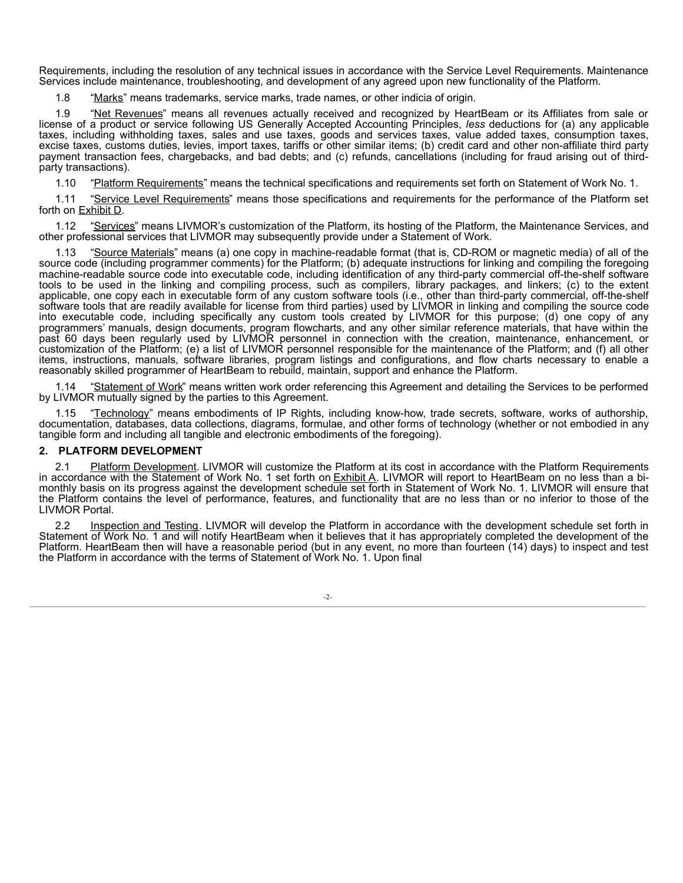Requirements, including the resolution of any technical issues in accordance with the Service Level Requirements. Maintenance Services include maintenance, troubleshooting, and development of any agreed upon new functionality of the Platform.

1.8 "Marks" means trademarks, service marks, trade names, or other indicia of origin.

1.9 "Net Revenues" means all revenues actually received and recognized by HeartBeam or its Affiliates from sale or license of a product or service following US Generally Accepted Accounting Principles, *less* deductions for (a) any applicable taxes, including withholding taxes, sales and use taxes, goods and services taxes, value added taxes, consumption taxes, excise taxes, customs duties, levies, import taxes, tariffs or other similar items; (b) credit card and other non-affiliate third party payment transaction fees, chargebacks, and bad debts; and (c) refunds, cancellations (including for fraud arising out of thirdparty transactions).

1.10 "Platform Requirements" means the technical specifications and requirements set forth on Statement of Work No. 1.

1.11 "Service Level Requirements" means those specifications and requirements for the performance of the Platform set forth on **Exhibit D**.

1.12 "Services" means LIVMOR's customization of the Platform, its hosting of the Platform, the Maintenance Services, and other professional services that LIVMOR may subsequently provide under a Statement of Work.

1.13 "Source Materials" means (a) one copy in machine-readable format (that is, CD-ROM or magnetic media) of all of the source code (including programmer comments) for the Platform; (b) adequate instructions for linking and compiling the foregoing machine-readable source code into executable code, including identification of any third-party commercial off-the-shelf software tools to be used in the linking and compiling process, such as compilers, library packages, and linkers; (c) to the extent applicable, one copy each in executable form of any custom software tools (i.e., other than third-party commercial, off-the-shelf software tools that are readily available for license from third parties) used by LIVMOR in linking and compiling the source code into executable code, including specifically any custom tools created by LIVMOR for this purpose; (d) one copy of any programmers' manuals, design documents, program flowcharts, and any other similar reference materials, that have within the past 60 days been regularly used by LIVMOR personnel in connection with the creation, maintenance, enhancement, or customization of the Platform; (e) a list of LIVMOR personnel responsible for the maintenance of the Platform; and (f) all other items, instructions, manuals, software libraries, program listings and configurations, and flow charts necessary to enable a reasonably skilled programmer of HeartBeam to rebuild, maintain, support and enhance the Platform.

1.14 "Statement of Work" means written work order referencing this Agreement and detailing the Services to be performed by LIVMOR mutually signed by the parties to this Agreement.

1.15 "Technology" means embodiments of IP Rights, including know-how, trade secrets, software, works of authorship, documentation, databases, data collections, diagrams, formulae, and other forms of technology (whether or not embodied in any tangible form and including all tangible and electronic embodiments of the foregoing).

#### **2. PLATFORM DEVELOPMENT**

2.1 Platform Development. LIVMOR will customize the Platform at its cost in accordance with the Platform Requirements in accordance with the Statement of Work No. 1 set forth on **Exhibit A. LIVMOR will report to HeartBeam** on no less than a bi-<br>monthly basis on its progress against the development schedule set forth in Statement of Work N the Platform contains the level of performance, features, and functionality that are no less than or no inferior to those of the LIVMOR Portal.

2.2 Inspection and Testing. LIVMOR will develop the Platform in accordance with the development schedule set forth in Statement of Work No. 1 and will notify HeartBeam when it believes that it has appropriately completed the development of the Platform. HeartBeam then will have a reasonable period (but in any event, no more than fourteen (14) days) to inspect and test the Platform in accordance with the terms of Statement of Work No. 1. Upon final

-2-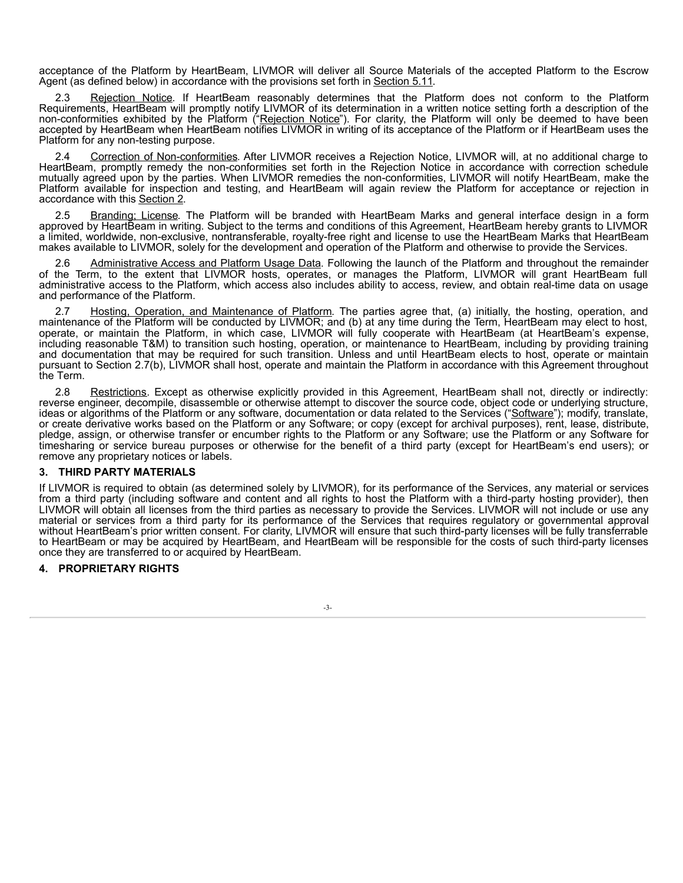acceptance of the Platform by HeartBeam, LIVMOR will deliver all Source Materials of the accepted Platform to the Escrow Agent (as defined below) in accordance with the provisions set forth in Section 5.11.

Rejection Notice. If HeartBeam reasonably determines that the Platform does not conform to the Platform Requirements, HeartBeam will promptly notify LIVMOR of its determination in a written notice setting forth a description of the non-conformities exhibited by the Platform ("Rejection Notice"). For clarity, the Platform will only be deemed to have been accepted by HeartBeam when HeartBeam notifies LIVMOR in writing of its acceptance of the Platform or if HeartBeam uses the Platform for any non-testing purpose.

2.4 Correction of Non-conformities. After LIVMOR receives a Rejection Notice, LIVMOR will, at no additional charge to HeartBeam, promptly remedy the non-conformities set forth in the Rejection Notice in accordance with correction schedule mutually agreed upon by the parties. When LIVMOR remedies the non-conformities, LIVMOR will notify HeartBeam, make the Platform available for inspection and testing, and HeartBeam will again review the Platform for acceptance or rejection in accordance with this Section 2.

2.5 Branding; License. The Platform will be branded with HeartBeam Marks and general interface design in a form approved by HeartBeam in writing. Subject to the terms and conditions of this Agreement, HeartBeam hereby grants to LIVMOR a limited, worldwide, non-exclusive, nontransferable, royalty-free right and license to use the HeartBeam Marks that HeartBeam makes available to LIVMOR, solely for the development and operation of the Platform and otherwise to provide the Services.

Administrative Access and Platform Usage Data. Following the launch of the Platform and throughout the remainder of the Term, to the extent that LIVMOR hosts, operates, or manages the Platform, LIVMOR will grant HeartBeam full administrative access to the Platform, which access also includes ability to access, review, and obtain real-time data on usage and performance of the Platform.

Hosting, Operation, and Maintenance of Platform. The parties agree that, (a) initially, the hosting, operation, and maintenance of the Platform will be conducted by LIVMOR; and (b) at any time during the Term, HeartBeam may elect to host, operate, or maintain the Platform, in which case, LIVMOR will fully cooperate with HeartBeam (at HeartBeam's expense, including reasonable T&M) to transition such hosting, operation, or maintenance to HeartBeam, including by providing training and documentation that may be required for such transition. Unless and until HeartBeam elects to host, operate or maintain pursuant to Section 2.7(b), LIVMOR shall host, operate and maintain the Platform in accordance with this Agreement throughout the Term.

2.8 Restrictions. Except as otherwise explicitly provided in this Agreement, HeartBeam shall not, directly or indirectly: reverse engineer, decompile, disassemble or otherwise attempt to discover the source code, object code or underlying structure, ideas or algorithms of the Platform or any software, documentation or data related to the Services ("Software"); modify, translate, or create derivative works based on the Platform or any Software; or copy (except for archival purposes), rent, lease, distribute, pledge, assign, or otherwise transfer or encumber rights to the Platform or any Software; use the Platform or any Software for timesharing or service bureau purposes or otherwise for the benefit of a third party (except for HeartBeam's end users); or remove any proprietary notices or labels.

# **3. THIRD PARTY MATERIALS**

If LIVMOR is required to obtain (as determined solely by LIVMOR), for its performance of the Services, any material or services from a third party (including software and content and all rights to host the Platform with a third-party hosting provider), then LIVMOR will obtain all licenses from the third parties as necessary to provide the Services. LIVMOR will not include or use any material or services from a third party for its performance of the Services that requires regulatory or governmental approval without HeartBeam's prior written consent. For clarity, LIVMOR will ensure that such third-party licenses will be fully transferrable to HeartBeam or may be acquired by HeartBeam, and HeartBeam will be responsible for the costs of such third-party licenses once they are transferred to or acquired by HeartBeam.

#### **4. PROPRIETARY RIGHTS**

-3-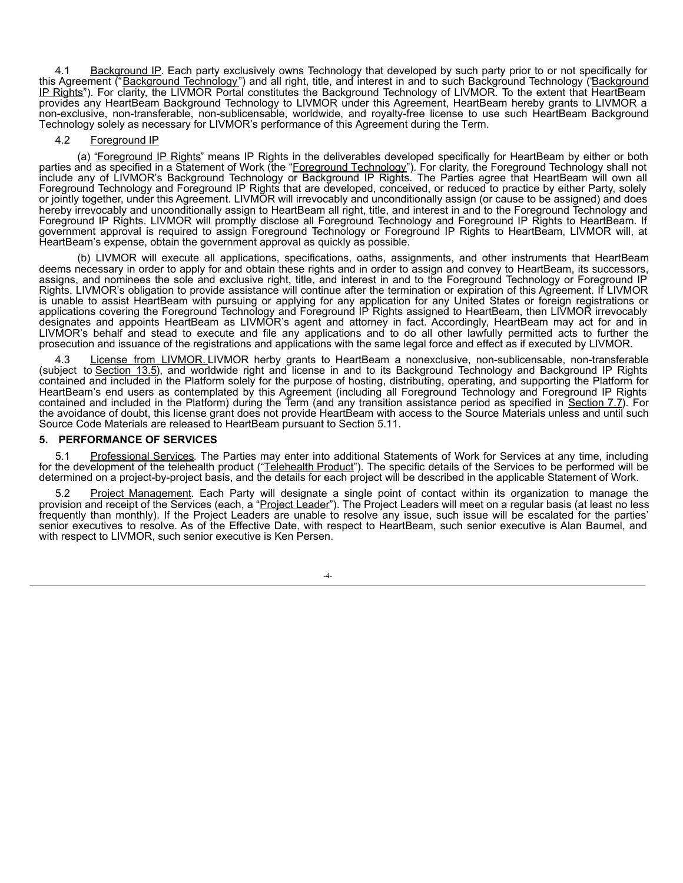4.1 Background IP. Each party exclusively owns Technology that developed by such party prior to or not specifically for this Agreement ("Background Technology") and all right, title, and interest in and to such Background Technology (Background IP Rights"). For clarity, the LIVMOR Portal constitutes the Background Technology of LIVMOR. To the extent that HeartBeam provides any HeartBeam Background Technology to LIVMOR under this Agreement, HeartBeam hereby grants to LIVMOR a non-exclusive, non-transferable, non-sublicensable, worldwide, and royalty-free license to use such HeartBeam Background Technology solely as necessary for LIVMOR's performance of this Agreement during the Term.

#### 4.2 Foreground IP

(a) "Foreground IP Rights" means IP Rights in the deliverables developed specifically for HeartBeam by either or both parties and as specified in a Statement of Work (the "Foreground Technology"). For clarity, the Foreground Technology shall not include any of LIVMOR's Background Technology or Background IP Rights. The Parties agree that HeartBeam will own all Foreground Technology and Foreground IP Rights that are developed, conceived, or reduced to practice by either Party, solely or jointly together, under this Agreement. LIVMOR will irrevocably and unconditionally assign (or cause to be assigned) and does hereby irrevocably and unconditionally assign to HeartBeam all right, title, and interest in and to the Foreground Technology and Foreground IP Rights. LIVMOR will promptly disclose all Foreground Technology and Foreground IP Rights to HeartBeam. If government approval is required to assign Foreground Technology or Foreground IP Rights to HeartBeam, LIVMOR will, at HeartBeam's expense, obtain the government approval as quickly as possible.

(b) LIVMOR will execute all applications, specifications, oaths, assignments, and other instruments that HeartBeam deems necessary in order to apply for and obtain these rights and in order to assign and convey to HeartBeam, its successors, assigns, and nominees the sole and exclusive right, title, and interest in and to the Foreground Technology or Foreground IP Rights. LIVMOR's obligation to provide assistance will continue after the termination or expiration of this Agreement. If LIVMOR is unable to assist HeartBeam with pursuing or applying for any application for any United States or foreign registrations or applications covering the Foreground Technology and Foreground IP Rights assigned to HeartBeam, then LIVMOR irrevocably designates and appoints HeartBeam as LIVMOR's agent and attorney in fact. Accordingly, HeartBeam may act for and in LIVMOR's behalf and stead to execute and file any applications and to do all other lawfully permitted acts to further the prosecution and issuance of the registrations and applications with the same legal force and effect as if executed by LIVMOR.

4.3 License from LIVMOR. LIVMOR herby grants to HeartBeam a nonexclusive, non-sublicensable, non-transferable (subject to Section 13.5), and worldwide right and license in and to its Background Technology and Background IP Rights contained and included in the Platform solely for the purpose of hosting, distributing, operating, and supporting the Platform for HeartBeam's end users as contemplated by this Agreement (including all Foreground Technology and Foreground IP Rights contained and included in the Platform) during the Term (and any transition assistance period as specified in Section 7.7). For the avoidance of doubt, this license grant does not provide HeartBeam with access to the Source Materials unless and until such Source Code Materials are released to HeartBeam pursuant to Section 5.11.

#### **5. PERFORMANCE OF SERVICES**

5.1 Professional Services. The Parties may enter into additional Statements of Work for Services at any time, including for the development of the telehealth product ("Telehealth Product"). The specific details of the Services to be performed will be determined on a project-by-project basis, and the details for each project will be described in the applicable Statement of Work.

5.2 Project Management. Each Party will designate a single point of contact within its organization to manage the provision and receipt of the Services (each, a "<u>Project Leader</u>"). The Project Leaders will meet on a regular basis (at least no less frequently than monthly). If the Project Leaders are unable to resolve any issue, such issue will be escalated for the parties' senior executives to resolve. As of the Effective Date, with respect to HeartBeam, such senior executive is Alan Baumel, and with respect to LIVMOR, such senior executive is Ken Persen.

-4-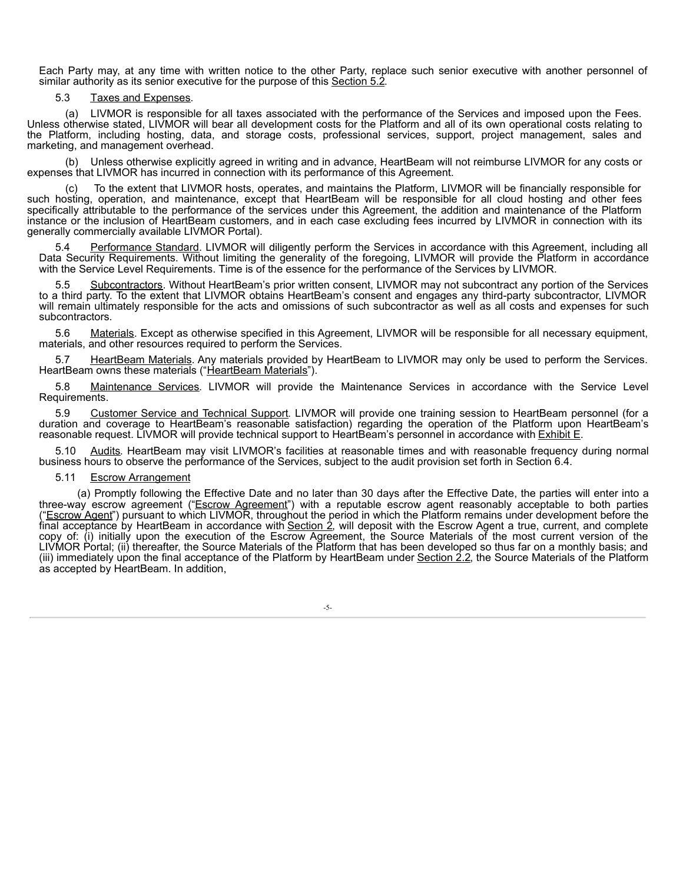Each Party may, at any time with written notice to the other Party, replace such senior executive with another personnel of similar authority as its senior executive for the purpose of this Section 5.2.

# 5.3 Taxes and Expenses.

(a) LIVMOR is responsible for all taxes associated with the performance of the Services and imposed upon the Fees. Unless otherwise stated, LIVMOR will bear all development costs for the Platform and all of its own operational costs relating to the Platform, including hosting, data, and storage costs, professional services, support, project management, sales and marketing, and management overhead.

Unless otherwise explicitly agreed in writing and in advance. HeartBeam will not reimburse LIVMOR for any costs or expenses that LIVMOR has incurred in connection with its performance of this Agreement.

To the extent that LIVMOR hosts, operates, and maintains the Platform, LIVMOR will be financially responsible for such hosting, operation, and maintenance, except that HeartBeam will be responsible for all cloud hosting and other fees specifically attributable to the performance of the services under this Agreement, the addition and maintenance of the Platform instance or the inclusion of HeartBeam customers, and in each case excluding fees incurred by LIVMOR in connection with its generally commercially available LIVMOR Portal).

5.4 Performance Standard. LIVMOR will diligently perform the Services in accordance with this Agreement, including all Data Security Requirements. Without limiting the generality of the foregoing, LIVMOR will provide the Platform in accordance with the Service Level Requirements. Time is of the essence for the performance of the Services by LIVMOR.

5.5 Subcontractors. Without HeartBeam's prior written consent, LIVMOR may not subcontract any portion of the Services to a third party. To the extent that LIVMOR obtains HeartBeam's consent and engages any third-party subcontractor, LIVMOR will remain ultimately responsible for the acts and omissions of such subcontractor as well as all costs and expenses for such subcontractors.

5.6 Materials. Except as otherwise specified in this Agreement, LIVMOR will be responsible for all necessary equipment, materials, and other resources required to perform the Services.

5.7 HeartBeam Materials. Any materials provided by HeartBeam to LIVMOR may only be used to perform the Services. HeartBeam owns these materials ("HeartBeam Materials").

5.8 Maintenance Services. LIVMOR will provide the Maintenance Services in accordance with the Service Level Requirements.

5.9 Customer Service and Technical Support. LIVMOR will provide one training session to HeartBeam personnel (for a duration and coverage to HeartBeam's reasonable satisfaction) regarding the operation of the Platform upon HeartBeam's reasonable request. LIVMOR will provide technical support to HeartBeam's personnel in accordance with **Exhibit E**.

5.10 Audits. HeartBeam may visit LIVMOR's facilities at reasonable times and with reasonable frequency during normal business hours to observe the performance of the Services, subject to the audit provision set forth in Section 6.4.

#### 5.11 Escrow Arrangement

(a) Promptly following the Effective Date and no later than 30 days after the Effective Date, the parties will enter into a three-way escrow agreement ("<u>Escrow Agreement</u>") with a reputable escrow agent reasonably acceptable to both parties ("Escrow Agent") pursuant to which LIVMOR, throughout the period in which the Platform remains under development before the final acceptance by HeartBeam in accordance with Section 2, will deposit with the Escrow Agent a true, current, and complete copy of: (i) initially upon the execution of the Escrow Agreement, the Source Materials of the most current version of the LIVMOR Portal; (ii) thereafter, the Source Materials of the Platform that has been developed so thus far on a monthly basis; and (iii) immediately upon the final acceptance of the Platform by HeartBeam under Section 2.2, the Source Materials of the Platform as accepted by HeartBeam. In addition,

-5-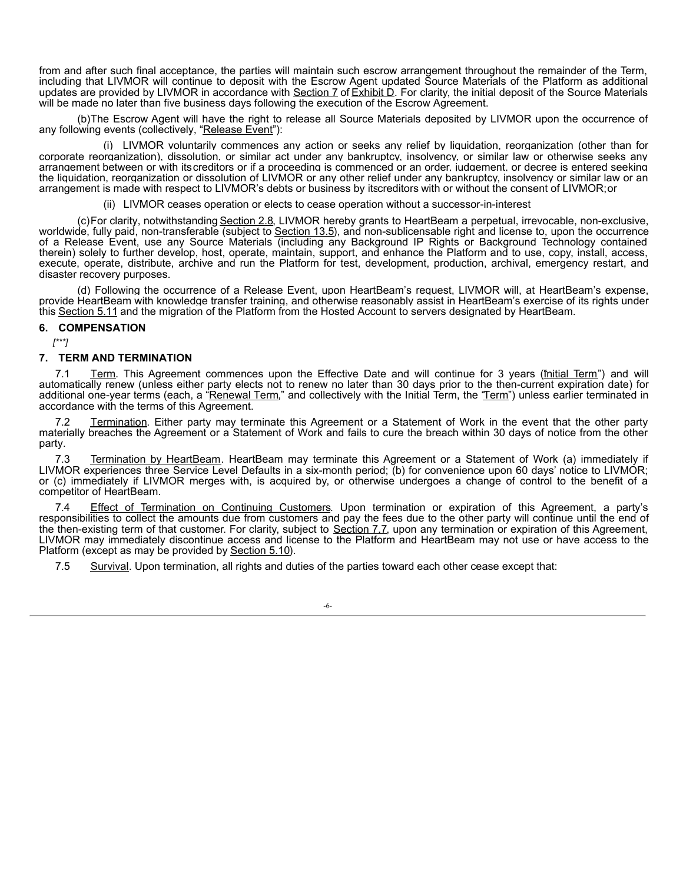from and after such final acceptance, the parties will maintain such escrow arrangement throughout the remainder of the Term, including that LIVMOR will continue to deposit with the Escrow Agent updated Source Materials of the Platform as additional updates are provided by LIVMOR in accordance with Section 7 of Exhibit D. For clarity, the initial deposit of the Source Materials will be made no later than five business days following the execution of the Escrow Agreement.

(b)The Escrow Agent will have the right to release all Source Materials deposited by LIVMOR upon the occurrence of any following events (collectively, "Release Event"):

(i) LIVMOR voluntarily commences any action or seeks any relief by liquidation, reorganization (other than for corporate reorganization), dissolution, or similar act under any bankruptcy, insolvency, or similar law or otherwise seeks any arrangement between or with itscreditors or if a proceeding is commenced or an order, judgement, or decree is entered seeking the liquidation, reorganization or dissolution of LIVMOR or any other relief under any bankruptcy, insolvency or similar law or an arrangement is made with respect to LIVMOR's debts or business by itscreditors with or without the consent of LIVMOR;or

(ii) LIVMOR ceases operation or elects to cease operation without a successor-in-interest

(c)For clarity, notwithstanding Section 2.8, LIVMOR hereby grants to HeartBeam a perpetual, irrevocable, non-exclusive, worldwide, fully paid, non-transferable (subject to Section 13.5), and non-sublicensable right and license to, upon the occurrence of a Release Event, use any Source Materials (including any Background IP Rights or Background Technology contained therein) solely to further develop, host, operate, maintain, support, and enhance the Platform and to use, copy, install, access, execute, operate, distribute, archive and run the Platform for test, development, production, archival, emergency restart, and disaster recovery purposes.

(d) Following the occurrence of a Release Event, upon HeartBeam's request, LIVMOR will, at HeartBeam's expense, provide HeartBeam with knowledge transfer training, and otherwise reasonably assist in HeartBeam's exercise of its rights under this Section 5.11 and the migration of the Platform from the Hosted Account to servers designated by HeartBeam.

## **6. COMPENSATION**

*[\*\*\*]*

# **7. TERM AND TERMINATION**

7.1 Term. This Agreement commences upon the Effective Date and will continue for 3 years (*Initial Term*") and will automatically renew (unless either party elects not to renew no later than 30 days prior to the then-current expiration date) for additional one-year terms (each, a "Renewal Term," and collectively with the Initial Term, the "Term") unless earlier terminated in accordance with the terms of this Agreement.

Termination. Either party may terminate this Agreement or a Statement of Work in the event that the other party materially breaches the Agreement or a Statement of Work and fails to cure the breach within 30 days of notice from the other party.

7.3 Termination by HeartBeam. HeartBeam may terminate this Agreement or a Statement of Work (a) immediately if LIVMOR experiences three Service Level Defaults in a six-month period; (b) for convenience upon 60 days' notice to LIVMOR; or (c) immediately if LIVMOR merges with, is acquired by, or otherwise undergoes a change of control to the benefit of a competitor of HeartBeam.

7.4 Effect of Termination on Continuing Customers. Upon termination or expiration of this Agreement, a party's responsibilities to collect the amounts due from customers and pay the fees due to the other party will continue until the end of the then-existing term of that customer. For clarity, subject to Section 7.7, upon any termination or expiration of this Agreement, LIVMOR may immediately discontinue access and license to the Platform and HeartBeam may not use or have access to the Platform (except as may be provided by Section 5.10).

7.5 Survival. Upon termination, all rights and duties of the parties toward each other cease except that:

-6-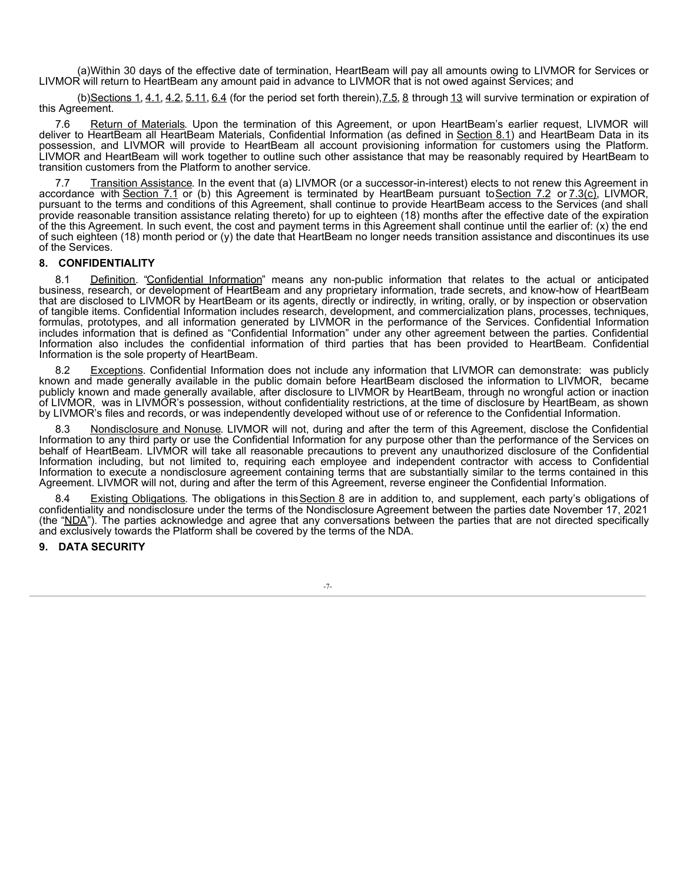<span id="page-9-0"></span>(a)Within 30 days of the effective date of termination, HeartBeam will pay all amounts owing to LIVMOR for Services or LIVMOR will return to HeartBeam any amount paid in advance to LIVMOR that is not owed against Services; and

(b) Sections 1, 4.1, 4.2, 5.11,  $6.4$  (for the period set forth therein),  $7.5, 8$  through  $13$  will survive termination or expiration of this Agreement.

7.6 Return of Materials. Upon the termination of this Agreement, or upon HeartBeam's earlier request, LIVMOR will deliver to HeartBeam all HeartBeam Materials, Confidential Information (as defined in Section 8.1) and HeartBeam Data in its possession, and LIVMOR will provide to HeartBeam all account provisioning information for customers using the Platform. LIVMOR and HeartBeam will work together to outline such other assistance that may be reasonably required by HeartBeam to transition customers from the Platform to another service.

7.7 Transition Assistance. In the event that (a) LIVMOR (or a successor-in-interest) elects to not renew this Agreement in accordance with Section 7.1 or (b) this Agreement is terminated by HeartBeam pursuant to Section 7.2 or 7.3(c), LIVMOR, pursuant to the terms and conditions of this Agreement, shall continue to provide HeartBeam access to the Services (and shall provide reasonable transition assistance relating thereto) for up to eighteen (18) months after the effective date of the expiration of the this Agreement. In such event, the cost and payment terms in this Agreement shall continue until the earlier of: (x) the end of such eighteen (18) month period or (y) the date that HeartBeam no longer needs transition assistance and discontinues its use of the Services.

# **8. CONFIDENTIALITY**

8.1 Definition. "Confidential Information" means any non-public information that relates to the actual or anticipated business, research, or development of HeartBeam and any proprietary information, trade secrets, and know-how of HeartBeam that are disclosed to LIVMOR by HeartBeam or its agents, directly or indirectly, in writing, orally, or by inspection or observation of tangible items. Confidential Information includes research, development, and commercialization plans, processes, techniques, formulas, prototypes, and all information generated by LIVMOR in the performance of the Services. Confidential Information includes information that is defined as "Confidential Information" under any other agreement between the parties. Confidential Information also includes the confidential information of third parties that has been provided to HeartBeam. Confidential Information is the sole property of HeartBeam.

8.2 Exceptions. Confidential Information does not include any information that LIVMOR can demonstrate: was publicly known and made generally available in the public domain before HeartBeam disclosed the information to LIVMOR, became publicly known and made generally available, after disclosure to LIVMOR by HeartBeam, through no wrongful action or inaction of LIVMOR, was in LIVMOR's possession, without confidentiality restrictions, at the time of disclosure by HeartBeam, as shown by LIVMOR's files and records, or was independently developed without use of or reference to the Confidential Information.

8.3 Nondisclosure and Nonuse. LIVMOR will not, during and after the term of this Agreement, disclose the Confidential Information to any third party or use the Confidential Information for any purpose other than the performance of the Services on behalf of HeartBeam. LIVMOR will take all reasonable precautions to prevent any unauthorized disclosure of the Confidential Information including, but not limited to, requiring each employee and independent contractor with access to Confidential Information to execute a nondisclosure agreement containing terms that are substantially similar to the terms contained in this Agreement. LIVMOR will not, during and after the term of this Agreement, reverse engineer the Confidential Information.

8.4 Existing Obligations. The obligations in this Section 8 are in addition to, and supplement, each party's obligations of confidentiality and nondisclosure under the terms of the Nondisclosure Agreement between the parties date November 17, 2021 (the "NDA"). The parties acknowledge and agree that any conversations between the parties that are not directed specifically and exclusively towards the Platform shall be covered by the terms of the NDA.

#### **9. DATA SECURITY**

-7-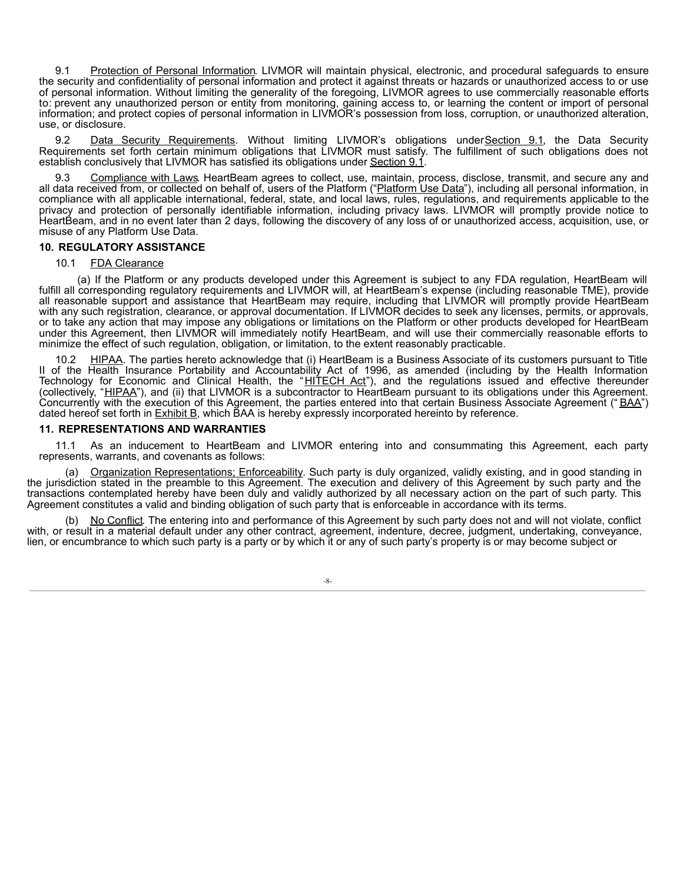9.1 Protection of Personal Information. LIVMOR will maintain physical, electronic, and procedural safeguards to ensure the security and confidentiality of personal information and protect it against threats or hazards or unauthorized access to or use of personal information. Without limiting the generality of the foregoing, LIVMOR agrees to use commercially reasonable efforts to: prevent any unauthorized person or entity from monitoring, gaining access to, or learning the content or import of personal information; and protect copies of personal information in LIVMOR's possession from loss, corruption, or unauthorized alteration, use, or disclosure.

Data Security Requirements. Without limiting LIVMOR's obligations underSection 9.1, the Data Security Requirements set forth certain minimum obligations that LIVMOR must satisfy. The fulfillment of such obligations does not establish conclusively that LIVMOR has satisfied its obligations under Section 9.1.

9.3 Compliance with Laws. HeartBeam agrees to collect, use, maintain, process, disclose, transmit, and secure any and all data received from, or collected on behalf of, users of the Platform ("Platform Use Data"), including all personal information, in compliance with all applicable international, federal, state, and local laws, rules, regulations, and requirements applicable to the privacy and protection of personally identifiable information, including privacy laws. LIVMOR will promptly provide notice to HeartBeam, and in no event later than 2 days, following the discovery of any loss of or unauthorized access, acquisition, use, or misuse of any Platform Use Data.

## **10. REGULATORY ASSISTANCE**

## 10.1 FDA Clearance

(a) If the Platform or any products developed under this Agreement is subject to any FDA regulation, HeartBeam will fulfill all corresponding regulatory requirements and LIVMOR will, at HeartBeam's expense (including reasonable TME), provide all reasonable support and assistance that HeartBeam may require, including that LIVMOR will promptly provide HeartBeam with any such registration, clearance, or approval documentation. If LIVMOR decides to seek any licenses, permits, or approvals, or to take any action that may impose any obligations or limitations on the Platform or other products developed for HeartBeam under this Agreement, then LIVMOR will immediately notify HeartBeam, and will use their commercially reasonable efforts to minimize the effect of such regulation, obligation, or limitation, to the extent reasonably practicable.

10.2 HIPAA. The parties hereto acknowledge that (i) HeartBeam is a Business Associate of its customers pursuant to Title II of the Health Insurance Portability and Accountability Act of 1996, as amended (including by the Health Information Technology for Economic and Clinical Health, the "HITECH Act"), and the regulations issued and effective thereunder (collectively, "HIPAA"), and (ii) that LIVMOR is a subcontractor to HeartBeam pursuant to its obligations under this Agreement. Concurrently with the execution of this Agreement, the parties entered into that certain Business Associate Agreement (" BAA") dated hereof set forth in **Exhibit B**, which BAA is hereby expressly incorporated hereinto by reference.

## **11. REPRESENTATIONS AND WARRANTIES**

11.1 As an inducement to HeartBeam and LIVMOR entering into and consummating this Agreement, each party represents, warrants, and covenants as follows:

(a) Organization Representations; Enforceability. Such party is duly organized, validly existing, and in good standing in the jurisdiction stated in the preamble to this Agreement. The execution and delivery of this Agreement by such party and the transactions contemplated hereby have been duly and validly authorized by all necessary action on the part of such party. This Agreement constitutes a valid and binding obligation of such party that is enforceable in accordance with its terms.

(b) No Conflict. The entering into and performance of this Agreement by such party does not and will not violate, conflict with, or result in a material default under any other contract, agreement, indenture, decree, judgment, undertaking, conveyance, lien, or encumbrance to which such party is a party or by which it or any of such party's property is or may become subject or

-8-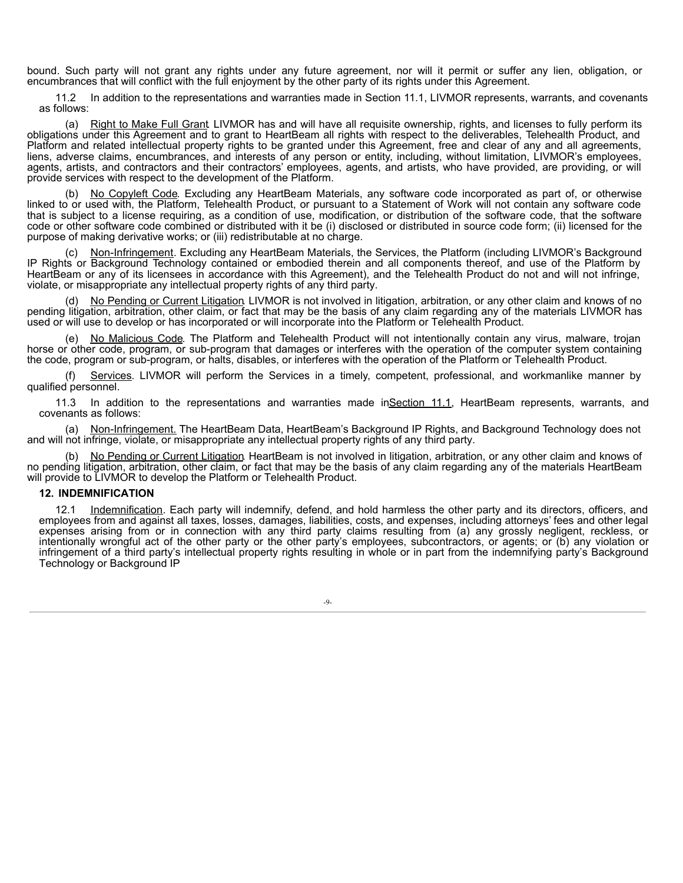bound. Such party will not grant any rights under any future agreement, nor will it permit or suffer any lien, obligation, or encumbrances that will conflict with the full enjoyment by the other party of its rights under this Agreement.

11.2 In addition to the representations and warranties made in Section 11.1, LIVMOR represents, warrants, and covenants as follows:

(a) Right to Make Full Grant LIVMOR has and will have all requisite ownership, rights, and licenses to fully perform its obligations under this Agreement and to grant to HeartBeam all rights with respect to the deliverables, Telehealth Product, and Platform and related intellectual property rights to be granted under this Agreement, free and clear of any and all agreements, liens, adverse claims, encumbrances, and interests of any person or entity, including, without limitation, LIVMOR's employees, agents, artists, and contractors and their contractors' employees, agents, and artists, who have provided, are providing, or will provide services with respect to the development of the Platform.

(b) No Copyleft Code. Excluding any HeartBeam Materials, any software code incorporated as part of, or otherwise linked to or used with, the Platform, Telehealth Product, or pursuant to a Statement of Work will not contain any software code that is subject to a license requiring, as a condition of use, modification, or distribution of the software code, that the software code or other software code combined or distributed with it be (i) disclosed or distributed in source code form; (ii) licensed for the purpose of making derivative works; or (iii) redistributable at no charge.

Non-Infringement. Excluding any HeartBeam Materials, the Services, the Platform (including LIVMOR's Background IP Rights or Background Technology contained or embodied therein and all components thereof, and use of the Platform by HeartBeam or any of its licensees in accordance with this Agreement), and the Telehealth Product do not and will not infringe, violate, or misappropriate any intellectual property rights of any third party.

No Pending or Current Litigation. LIVMOR is not involved in litigation, arbitration, or any other claim and knows of no pending litigation, arbitration, other claim, or fact that may be the basis of any claim regarding any of the materials LIVMOR has used or will use to develop or has incorporated or will incorporate into the Platform or Telehealth Product.

(e) No Malicious Code. The Platform and Telehealth Product will not intentionally contain any virus, malware, trojan horse or other code, program, or sub-program that damages or interferes with the operation of the computer system containing the code, program or sub-program, or halts, disables, or interferes with the operation of the Platform or Telehealth Product.

(f) Services. LIVMOR will perform the Services in a timely, competent, professional, and workmanlike manner by qualified personnel.

11.3 In addition to the representations and warranties made inSection 11.1, HeartBeam represents, warrants, and covenants as follows:

(a) Non-Infringement. The HeartBeam Data, HeartBeam's Background IP Rights, and Background Technology does not and will not infringe, violate, or misappropriate any intellectual property rights of any third party.

No Pending or Current Litigation. HeartBeam is not involved in litigation, arbitration, or any other claim and knows of no pending litigation, arbitration, other claim, or fact that may be the basis of any claim regarding any of the materials HeartBeam will provide to LIVMOR to develop the Platform or Telehealth Product.

#### **12. INDEMNIFICATION**

12.1 Indemnification. Each party will indemnify, defend, and hold harmless the other party and its directors, officers, and employees from and against all taxes, losses, damages, liabilities, costs, and expenses, including attorneys' fees and other legal expenses arising from or in connection with any third party claims resulting from (a) any grossly negligent, reckless, or intentionally wrongful act of the other party or the other party's employees, subcontractors, or agents; or (b) any violation or infringement of a third party's intellectual property rights resulting in whole or in part from the indemnifying party's Background Technology or Background IP

-9-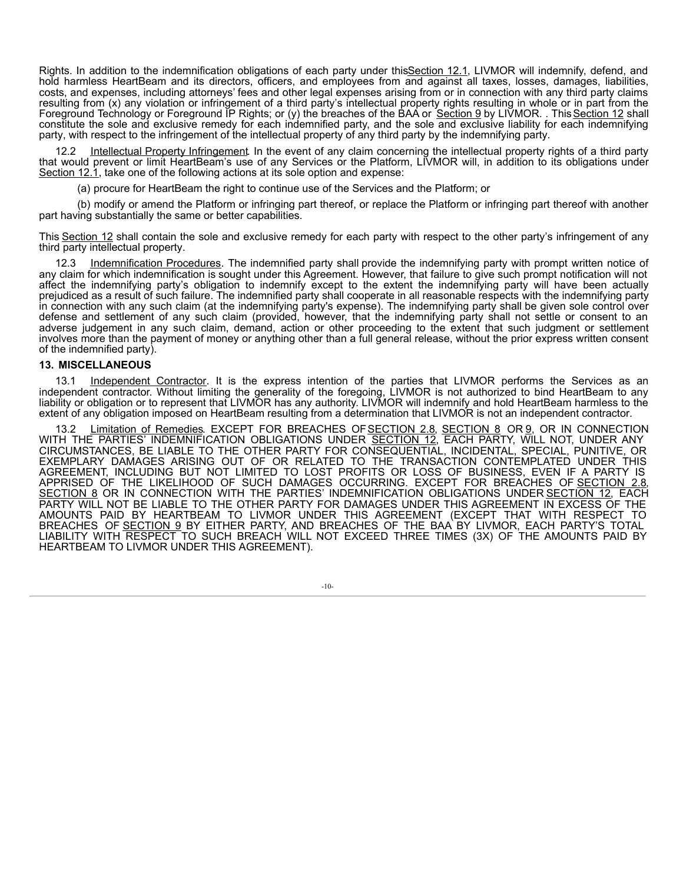Rights. In addition to the indemnification obligations of each party under thisSection 12.1, LIVMOR will indemnify, defend, and hold harmless HeartBeam and its directors, officers, and employees from and against all taxes, losses, damages, liabilities, costs, and expenses, including attorneys' fees and other legal expenses arising from or in connection with any third party claims resulting from (x) any violation or infringement of a third party's intellectual property rights resulting in whole or in part from the Foreground Technology or Foreground IP Rights; or (y) the breaches of the BAA or Section 9 by LIVMOR. . This Section 12 shall constitute the sole and exclusive remedy for each indemnified party, and the sole and exclusive liability for each indemnifying party, with respect to the infringement of the intellectual property of any third party by the indemnifying party.

Intellectual Property Infringement. In the event of any claim concerning the intellectual property rights of a third party that would prevent or limit HeartBeam's use of any Services or the Platform, LIVMOR will, in addition to its obligations under Section 12.1, take one of the following actions at its sole option and expense:

(a) procure for HeartBeam the right to continue use of the Services and the Platform; or

(b) modify or amend the Platform or infringing part thereof, or replace the Platform or infringing part thereof with another part having substantially the same or better capabilities.

This Section 12 shall contain the sole and exclusive remedy for each party with respect to the other party's infringement of any third party intellectual property.

12.3 Indemnification Procedures. The indemnified party shall provide the indemnifying party with prompt written notice of any claim for which indemnification is sought under this Agreement. However, that failure to give such prompt notification will not affect the indemnifying party's obligation to indemnify except to the extent the indemnifying party will have been actually prejudiced as a result of such failure. The indemnified party shall cooperate in all reasonable respects with the indemnifying party in connection with any such claim (at the indemnifying party's expense). The indemnifying party shall be given sole control over defense and settlement of any such claim (provided, however, that the indemnifying party shall not settle or consent to an adverse judgement in any such claim, demand, action or other proceeding to the extent that such judgment or settlement involves more than the payment of money or anything other than a full general release, without the prior express written consent of the indemnified party).

# **13. MISCELLANEOUS**

13.1 Independent Contractor. It is the express intention of the parties that LIVMOR performs the Services as an independent contractor. Without limiting the generality of the foregoing, LIVMOR is not authorized to bind HeartBeam to any liability or obligation or to represent that LIVMOR has any authority. LIVMOR will indemnify and hold HeartBeam harmless to the extent of any obligation imposed on HeartBeam resulting from a determination that LIVMOR is not an independent contractor.

13.2 Limitation of Remedies. EXCEPT FOR BREACHES OF SECTION 2.8, SECTION 8 OR 9, OR IN CONNECTION WITH THE PARTIES' INDEMNIFICATION OBLIGATIONS UNDER <u>SECTION 12,</u> EACH PARTY, WILL NOT, UNDER ANY CIRCUMSTANCES, BE LIABLE TO THE OTHER PARTY FOR CONSEQUENTIAL, INCIDENTAL, SPECIAL, PUNITIVE, OR EXEMPLARY DAMAGES ARISING OUT OF OR RELATED TO THE TRANSACTION CONTEMPLATED UNDER THIS AGREEMENT, INCLUDING BUT NOT LIMITED TO LOST PROFITS OR LOSS OF BUSINESS, EVEN IF A PARTY IS APPRISED OF THE LIKELIHOOD OF SUCH DAMAGES OCCURRING. EXCEPT FOR BREACHES OF <u>SECTION 2.8,</u> SECTION 8 OR IN CONNECTION WITH THE PARTIES' INDEMNIFICATION OBLIGATIONS UNDER SECTION 12, EACH PARTY WILL NOT BE LIABLE TO THE OTHER PARTY FOR DAMAGES UNDER THIS AGREEMENT IN EXCESS OF THE AMOUNTS PAID BY HEARTBEAM TO LIVMOR UNDER THIS AGREEMENT (EXCEPT THAT WITH RESPECT TO BREACHES OF SECTION 9 BY EITHER PARTY, AND BREACHES OF THE BAA BY LIVMOR, EACH PARTY'S TOTAL LIABILITY WITH RESPECT TO SUCH BREACH WILL NOT EXCEED THREE TIMES (3X) OF THE AMOUNTS PAID BY HEARTBEAM TO LIVMOR UNDER THIS AGREEMENT).

-10-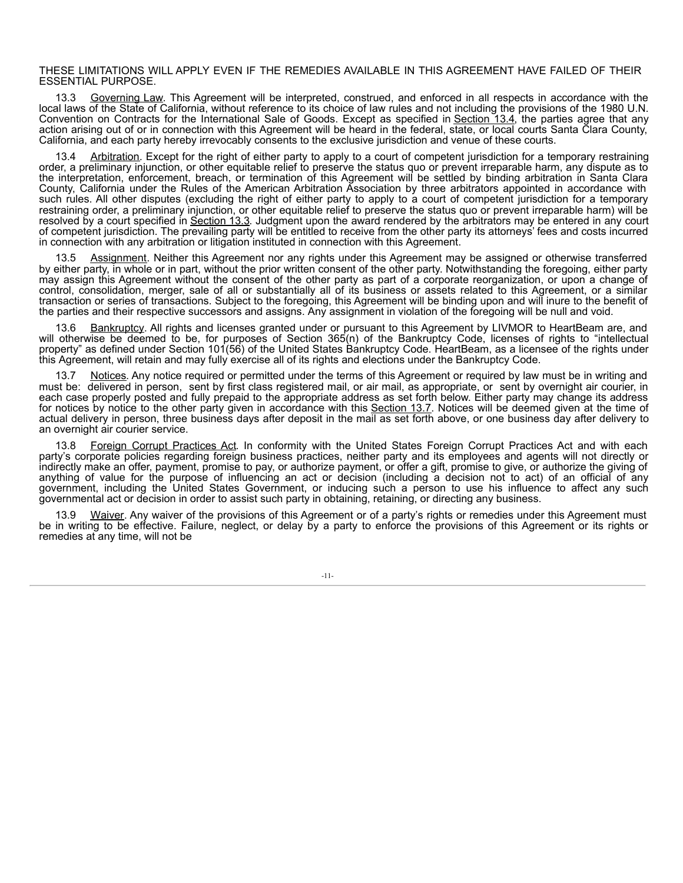#### THESE LIMITATIONS WILL APPLY EVEN IF THE REMEDIES AVAILABLE IN THIS AGREEMENT HAVE FAILED OF THEIR ESSENTIAL PURPOSE.

13.3 Governing Law. This Agreement will be interpreted, construed, and enforced in all respects in accordance with the local laws of the State of California, without reference to its choice of law rules and not including the provisions of the 1980 U.N. Convention on Contracts for the International Sale of Goods. Except as specified in Section 13.4, the parties agree that any action arising out of or in connection with this Agreement will be heard in the federal, state, or local courts Santa Clara County, California, and each party hereby irrevocably consents to the exclusive jurisdiction and venue of these courts.

13.4 Arbitration. Except for the right of either party to apply to a court of competent jurisdiction for a temporary restraining order, a preliminary injunction, or other equitable relief to preserve the status quo or prevent irreparable harm, any dispute as to the interpretation, enforcement, breach, or termination of this Agreement will be settled by binding arbitration in Santa Clara County, California under the Rules of the American Arbitration Association by three arbitrators appointed in accordance with such rules. All other disputes (excluding the right of either party to apply to a court of competent jurisdiction for a temporary restraining order, a preliminary injunction, or other equitable relief to preserve the status quo or prevent irreparable harm) will be resolved by a court specified in Section 13.3. Judgment upon the award rendered by the arbitrators may be entered in any court of competent jurisdiction. The prevailing party will be entitled to receive from the other party its attorneys' fees and costs incurred in connection with any arbitration or litigation instituted in connection with this Agreement.

Assignment. Neither this Agreement nor any rights under this Agreement may be assigned or otherwise transferred by either party, in whole or in part, without the prior written consent of the other party. Notwithstanding the foregoing, either party may assign this Agreement without the consent of the other party as part of a corporate reorganization, or upon a change of control, consolidation, merger, sale of all or substantially all of its business or assets related to this Agreement, or a similar transaction or series of transactions. Subject to the foregoing, this Agreement will be binding upon and will inure to the benefit of the parties and their respective successors and assigns. Any assignment in violation of the foregoing will be null and void.

Bankruptcy. All rights and licenses granted under or pursuant to this Agreement by LIVMOR to HeartBeam are, and will otherwise be deemed to be, for purposes of Section 365(n) of the Bankruptcy Code, licenses of rights to "intellectual property" as defined under Section 101(56) of the United States Bankruptcy Code. HeartBeam, as a licensee of the rights under this Agreement, will retain and may fully exercise all of its rights and elections under the Bankruptcy Code.

Notices. Any notice required or permitted under the terms of this Agreement or required by law must be in writing and must be: delivered in person, sent by first class registered mail, or air mail, as appropriate, or sent by overnight air courier, in each case properly posted and fully prepaid to the appropriate address as set forth below. Either party may change its address for notices by notice to the other party given in accordance with this Section 13.7. Notices will be deemed given at the time of actual delivery in person, three business days after deposit in the mail as set forth above, or one business day after delivery to an overnight air courier service.

Foreign Corrupt Practices Act. In conformity with the United States Foreign Corrupt Practices Act and with each party's corporate policies regarding foreign business practices, neither party and its employees and agents will not directly or indirectly make an offer, payment, promise to pay, or authorize payment, or offer a gift, promise to give, or authorize the giving of anything of value for the purpose of influencing an act or decision (including a decision not to act) of an official of any government, including the United States Government, or inducing such a person to use his influence to affect any such governmental act or decision in order to assist such party in obtaining, retaining, or directing any business.

Waiver. Any waiver of the provisions of this Agreement or of a party's rights or remedies under this Agreement must be in writing to be effective. Failure, neglect, or delay by a party to enforce the provisions of this Agreement or its rights or remedies at any time, will not be

-11-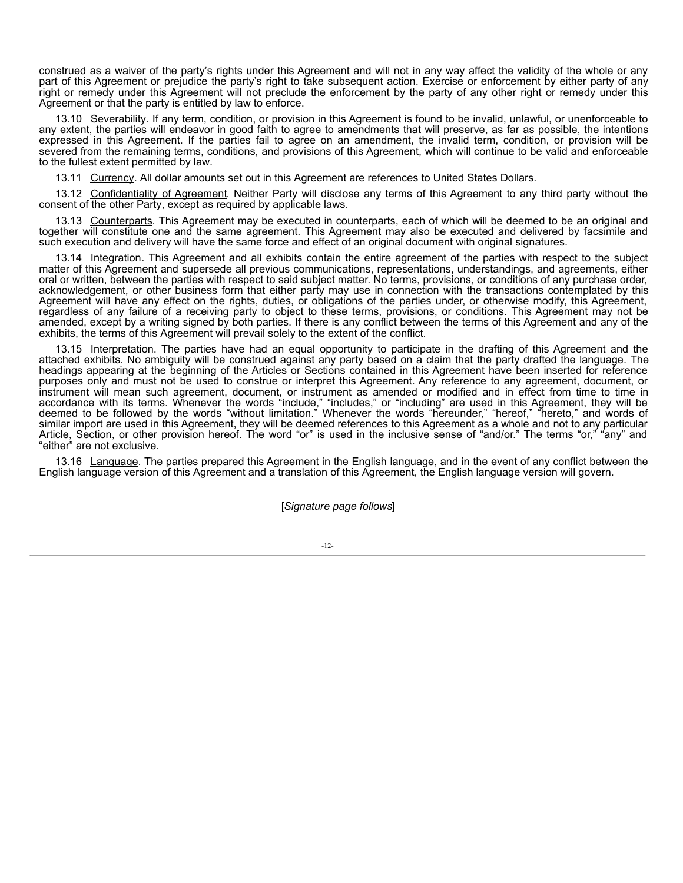construed as a waiver of the party's rights under this Agreement and will not in any way affect the validity of the whole or any part of this Agreement or prejudice the party's right to take subsequent action. Exercise or enforcement by either party of any right or remedy under this Agreement will not preclude the enforcement by the party of any other right or remedy under this Agreement or that the party is entitled by law to enforce.

13.10 Severability. If any term, condition, or provision in this Agreement is found to be invalid, unlawful, or unenforceable to any extent, the parties will endeavor in good faith to agree to amendments that will preserve, as far as possible, the intentions expressed in this Agreement. If the parties fail to agree on an amendment, the invalid term, condition, or provision will be severed from the remaining terms, conditions, and provisions of this Agreement, which will continue to be valid and enforceable to the fullest extent permitted by law.

13.11 Currency. All dollar amounts set out in this Agreement are references to United States Dollars.

13.12 Confidentiality of Agreement. Neither Party will disclose any terms of this Agreement to any third party without the consent of the other Party, except as required by applicable laws.

13.13 Counterparts. This Agreement may be executed in counterparts, each of which will be deemed to be an original and together will constitute one and the same agreement. This Agreement may also be executed and delivered by facsimile and such execution and delivery will have the same force and effect of an original document with original signatures.

13.14 Integration. This Agreement and all exhibits contain the entire agreement of the parties with respect to the subject matter of this Agreement and supersede all previous communications, representations, understandings, and agreements, either oral or written, between the parties with respect to said subject matter. No terms, provisions, or conditions of any purchase order, acknowledgement, or other business form that either party may use in connection with the transactions contemplated by this Agreement will have any effect on the rights, duties, or obligations of the parties under, or otherwise modify, this Agreement, regardless of any failure of a receiving party to object to these terms, provisions, or conditions. This Agreement may not be amended, except by a writing signed by both parties. If there is any conflict between the terms of this Agreement and any of the exhibits, the terms of this Agreement will prevail solely to the extent of the conflict.

13.15 Interpretation. The parties have had an equal opportunity to participate in the drafting of this Agreement and the attached exhibits. No ambiguity will be construed against any party based on a claim that the party drafted the language. The headings appearing at the beginning of the Articles or Sections contained in this Agreement have been inserted for reference purposes only and must not be used to construe or interpret this Agreement. Any reference to any agreement, document, or instrument will mean such agreement, document, or instrument as amended or modified and in effect from time to time in accordance with its terms. Whenever the words "include," "includes," or "including" are used in this Agreement, they will be deemed to be followed by the words "without limitation." Whenever the words "hereunder," "hereof," "hereto," and words of similar import are used in this Agreement, they will be deemed references to this Agreement as a whole and not to any particular Article, Section, or other provision hereof. The word "or" is used in the inclusive sense of "and/or." The terms "or," "any" and "either" are not exclusive.

13.16 Language. The parties prepared this Agreement in the English language, and in the event of any conflict between the English language version of this Agreement and a translation of this Agreement, the English language version will govern.

#### [*Signature page follows*]

-12-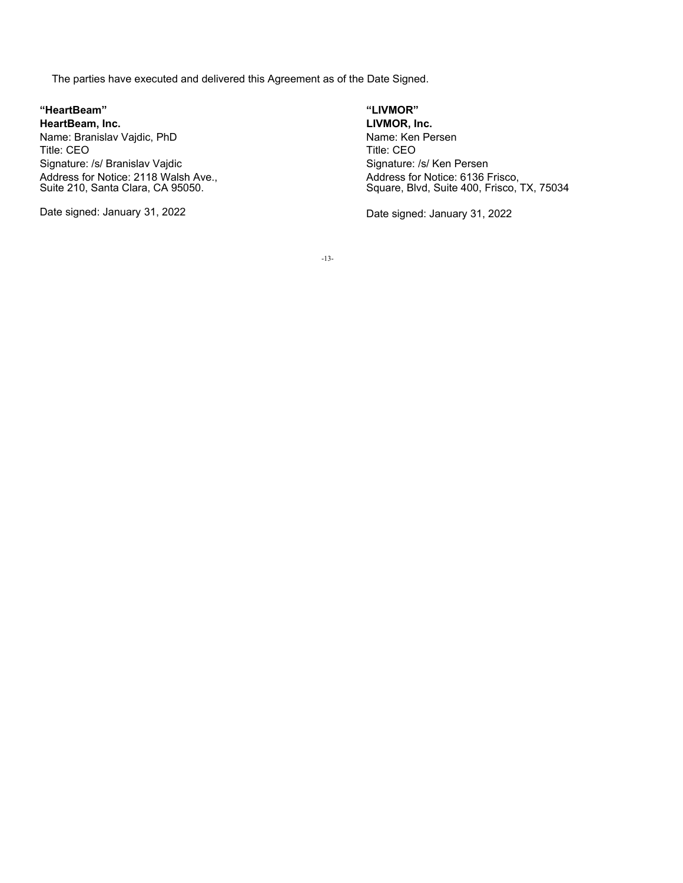The parties have executed and delivered this Agreement as of the Date Signed.

**"HeartBeam" "LIVMOR" HeartBeam, Inc. LIVMOR, Inc.** Name: Branislav Vajdic, PhD Name: Ken Persen Title: CEO Title: CEO Signature: /s/ Branislav Vajdic Signature: /s/ Ken Persen Address for Notice: 2118 Walsh Ave., Suite 210, Santa Clara, CA 95050.

Address for Notice: 6136 Frisco, Square, Blvd, Suite 400, Frisco, TX, 75034

Date signed: January 31, 2022 **Date signed: January 31, 2022** 

-13-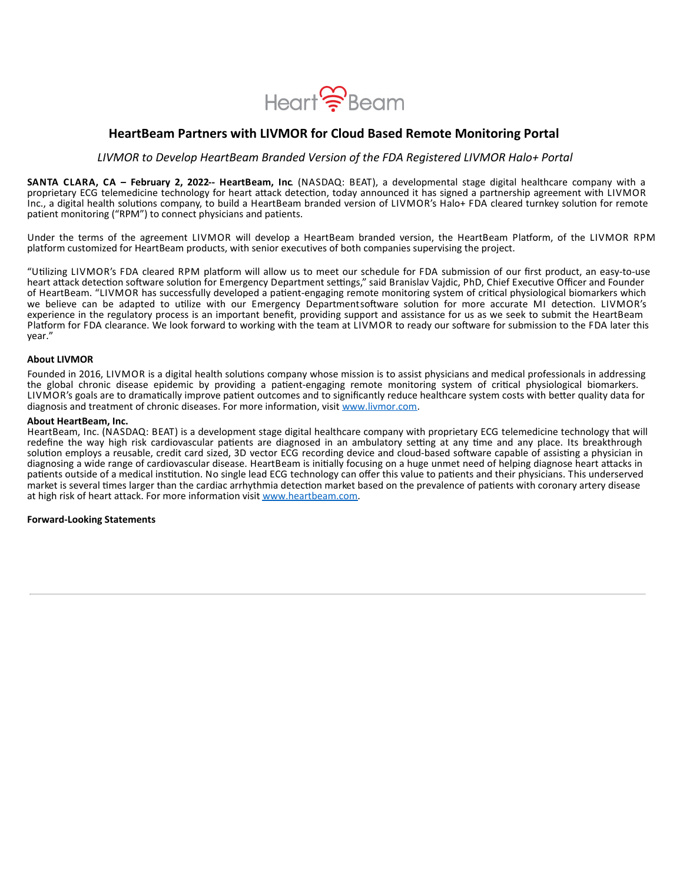

# <span id="page-16-0"></span>**HeartBeam Partners with LIVMOR for Cloud Based Remote Monitoring Portal**

*LIVMOR to Develop HeartBeam Branded Version of the FDA Registered LIVMOR Halo+ Portal*

**SANTA CLARA, CA – February 2, 2022-- HeartBeam, Inc**. (NASDAQ: BEAT), a developmental stage digital healthcare company with a proprietary ECG telemedicine technology for heart attack detection, today announced it has signed a partnership agreement with LIVMOR Inc., a digital health solutions company, to build a HeartBeam branded version of LIVMOR's Halo+ FDA cleared turnkey solution for remote patient monitoring ("RPM") to connect physicians and patients.

Under the terms of the agreement LIVMOR will develop a HeartBeam branded version, the HeartBeam Platform, of the LIVMOR RPM platform customized for HeartBeam products, with senior executives of both companies supervising the project.

"Utilizing LIVMOR's FDA cleared RPM platform will allow us to meet our schedule for FDA submission of our first product, an easy-to-use heart attack detection software solution for Emergency Department settings," said Branislav Vajdic, PhD, Chief Executive Officer and Founder of HeartBeam. "LIVMOR has successfully developed a patient-engaging remote monitoring system of critical physiological biomarkers which we believe can be adapted to utilize with our Emergency Departmentsoftware solution for more accurate MI detection. LIVMOR's experience in the regulatory process is an important benefit, providing support and assistance for us as we seek to submit the HeartBeam Platform for FDA clearance. We look forward to working with the team at LIVMOR to ready our software for submission to the FDA later this year."

#### **About LIVMOR**

Founded in 2016, LIVMOR is a digital health solutions company whose mission is to assist physicians and medical professionals in addressing the global chronic disease epidemic by providing a patient-engaging remote monitoring system of critical physiological biomarkers. LIVMOR's goals are to dramatically improve patient outcomes and to significantly reduce healthcare system costs with better quality data for diagnosis and treatment of chronic diseases. For more information, visit www.livmor.com.

#### **About HeartBeam, Inc.**

HeartBeam, Inc. (NASDAQ: BEAT) is a development stage digital healthcare company with proprietary ECG telemedicine technology that will redefine the way high risk cardiovascular patients are diagnosed in an ambulatory setting at any time and any place. Its breakthrough solution employs a reusable, credit card sized, 3D vector ECG recording device and cloud-based software capable of assisting a physician in diagnosing a wide range of cardiovascular disease. HeartBeam is initially focusing on a huge unmet need of helping diagnose heart attacks in patients outside of a medical institution. No single lead ECG technology can offer this value to patients and their physicians. This underserved market is several times larger than the cardiac arrhythmia detection market based on the prevalence of patients with coronary artery disease at high risk of heart attack. For more information visit www.heartbeam.com.

#### **Forward-Looking Statements**